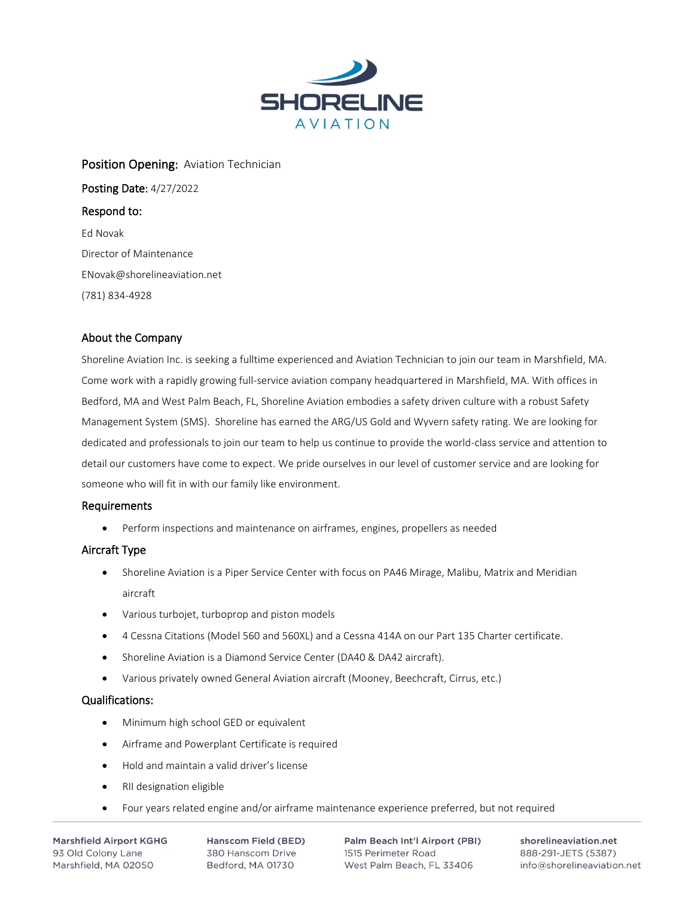

# Position Opening: Aviation Technician Posting Date: 4/27/2022 Respond to: Ed Novak Director of Maintenance ENovak@shorelineaviation.net (781) 834-4928

# About the Company

Shoreline Aviation Inc. is seeking a fulltime experienced and Aviation Technician to join our team in Marshfield, MA. Come work with a rapidly growing full-service aviation company headquartered in Marshfield, MA. With offices in Bedford, MA and West Palm Beach, FL, Shoreline Aviation embodies a safety driven culture with a robust Safety Management System (SMS). Shoreline has earned the ARG/US Gold and Wyvern safety rating. We are looking for dedicated and professionals to join our team to help us continue to provide the world-class service and attention to detail our customers have come to expect. We pride ourselves in our level of customer service and are looking for someone who will fit in with our family like environment.

#### Requirements

• Perform inspections and maintenance on airframes, engines, propellers as needed

# Aircraft Type

- Shoreline Aviation is a Piper Service Center with focus on PA46 Mirage, Malibu, Matrix and Meridian aircraft
- Various turbojet, turboprop and piston models
- 4 Cessna Citations (Model 560 and 560XL) and a Cessna 414A on our Part 135 Charter certificate.
- Shoreline Aviation is a Diamond Service Center (DA40 & DA42 aircraft).
- Various privately owned General Aviation aircraft (Mooney, Beechcraft, Cirrus, etc.)

## Qualifications:

- Minimum high school GED or equivalent
- Airframe and Powerplant Certificate is required
- Hold and maintain a valid driver's license
- RII designation eligible
- Four years related engine and/or airframe maintenance experience preferred, but not required

**Marshfield Airport KGHG** 93 Old Colony Lane Marshfield, MA 02050

Hanscom Field (BED) 380 Hanscom Drive Bedford, MA 01730

Palm Beach Int'l Airport (PBI) 1515 Perimeter Road West Palm Beach, FL 33406

shorelineaviation.net 888-291-JETS (5387) info@shorelineaviation.net